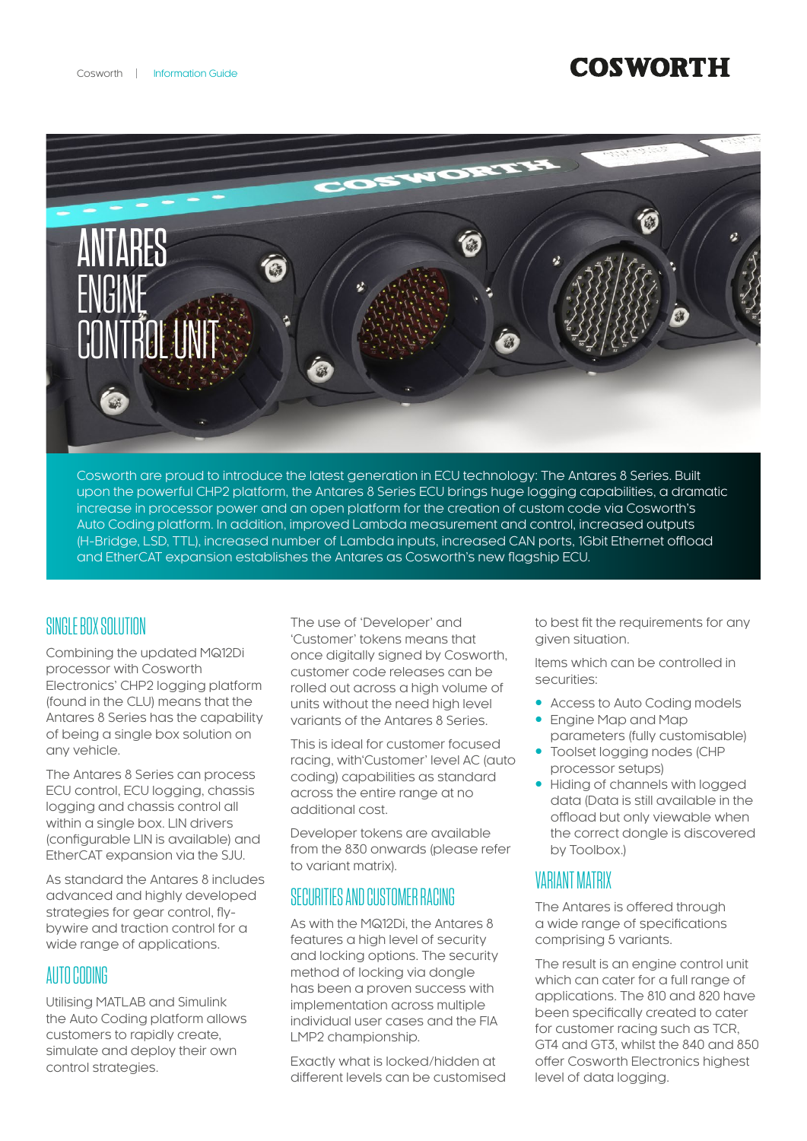# **COSWORTH**



Cosworth are proud to introduce the latest generation in ECU technology: The Antares 8 Series. Built upon the powerful CHP2 platform, the Antares 8 Series ECU brings huge logging capabilities, a dramatic increase in processor power and an open platform for the creation of custom code via Cosworth's Auto Coding platform. In addition, improved Lambda measurement and control, increased outputs (H-Bridge, LSD, TTL), increased number of Lambda inputs, increased CAN ports, 1Gbit Ethernet offload and EtherCAT expansion establishes the Antares as Cosworth's new flagship ECU.

## SINGLE BOX SOLUTION

Combining the updated MQ12Di processor with Cosworth Electronics' CHP2 logging platform (found in the CLU) means that the Antares 8 Series has the capability of being a single box solution on any vehicle.

The Antares 8 Series can process ECU control, ECU logging, chassis logging and chassis control all within a single box. LIN drivers (configurable LIN is available) and EtherCAT expansion via the SJU.

As standard the Antares 8 includes advanced and highly developed strategies for gear control, flybywire and traction control for a wide range of applications.

## AUTO CODING

Utilising MATLAB and Simulink the Auto Coding platform allows customers to rapidly create, simulate and deploy their own control strategies.

The use of 'Developer' and 'Customer' tokens means that once digitally signed by Cosworth, customer code releases can be rolled out across a high volume of units without the need high level variants of the Antares 8 Series.

This is ideal for customer focused racing, with'Customer' level AC (auto coding) capabilities as standard across the entire range at no additional cost.

Developer tokens are available from the 830 onwards (please refer to variant matrix).

# SECURITIES AND CUSTOMER RACING

As with the MQ12Di, the Antares 8 features a high level of security and locking options. The security method of locking via dongle has been a proven success with implementation across multiple individual user cases and the FIA LMP2 championship.

Exactly what is locked/hidden at different levels can be customised to best fit the requirements for any given situation.

Items which can be controlled in securities:

- Access to Auto Coding models
- Engine Map and Map parameters (fully customisable)
- Toolset logging nodes (CHP processor setups)
- Hiding of channels with logged data (Data is still available in the offload but only viewable when the correct dongle is discovered by Toolbox.)

## VARIANT MATRIX

The Antares is offered through a wide range of specifications comprising 5 variants.

The result is an engine control unit which can cater for a full range of applications. The 810 and 820 have been specifically created to cater for customer racing such as TCR, GT4 and GT3, whilst the 840 and 850 offer Cosworth Electronics highest level of data logging.